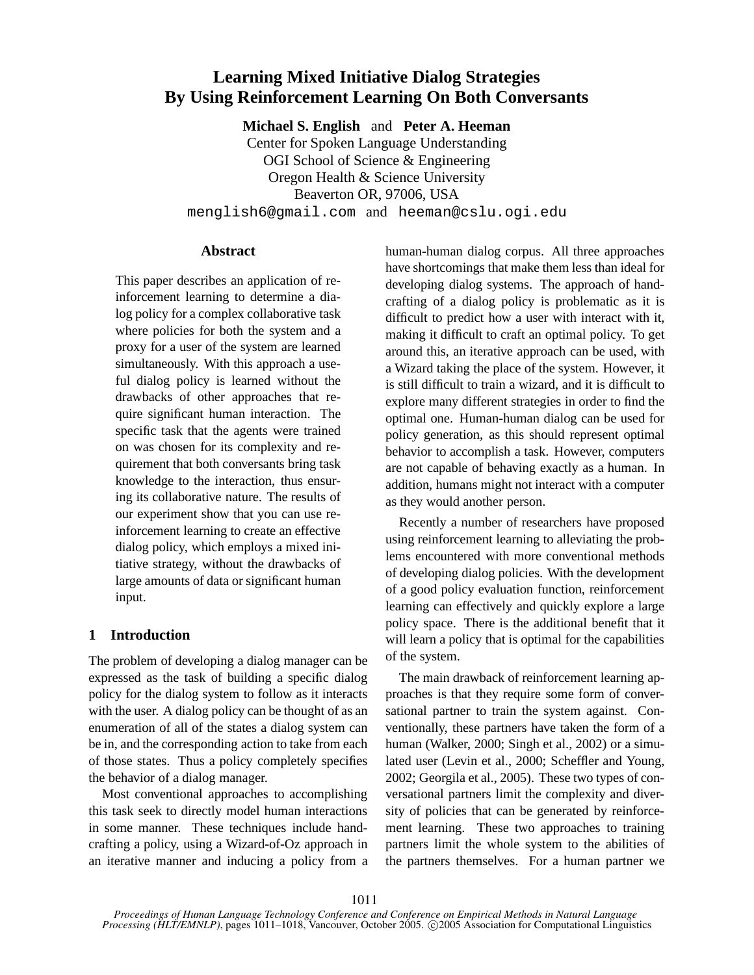# **Learning Mixed Initiative Dialog Strategies By Using Reinforcement Learning On Both Conversants**

**Michael S. English** and **Peter A. Heeman**

Center for Spoken Language Understanding OGI School of Science & Engineering Oregon Health & Science University Beaverton OR, 97006, USA menglish6@gmail.com and heeman@cslu.ogi.edu

# **Abstract**

This paper describes an application of reinforcement learning to determine a dialog policy for a complex collaborative task where policies for both the system and a proxy for a user of the system are learned simultaneously. With this approach a useful dialog policy is learned without the drawbacks of other approaches that require significant human interaction. The specific task that the agents were trained on was chosen for its complexity and requirement that both conversants bring task knowledge to the interaction, thus ensuring its collaborative nature. The results of our experiment show that you can use reinforcement learning to create an effective dialog policy, which employs a mixed initiative strategy, without the drawbacks of large amounts of data or significant human input.

# **1 Introduction**

The problem of developing a dialog manager can be expressed as the task of building a specific dialog policy for the dialog system to follow as it interacts with the user. A dialog policy can be thought of as an enumeration of all of the states a dialog system can be in, and the corresponding action to take from each of those states. Thus a policy completely specifies the behavior of a dialog manager.

Most conventional approaches to accomplishing this task seek to directly model human interactions in some manner. These techniques include handcrafting a policy, using a Wizard-of-Oz approach in an iterative manner and inducing a policy from a human-human dialog corpus. All three approaches have shortcomings that make them less than ideal for developing dialog systems. The approach of handcrafting of a dialog policy is problematic as it is difficult to predict how a user with interact with it, making it difficult to craft an optimal policy. To get around this, an iterative approach can be used, with a Wizard taking the place of the system. However, it is still difficult to train a wizard, and it is difficult to explore many different strategies in order to find the optimal one. Human-human dialog can be used for policy generation, as this should represent optimal behavior to accomplish a task. However, computers are not capable of behaving exactly as a human. In addition, humans might not interact with a computer as they would another person.

Recently a number of researchers have proposed using reinforcement learning to alleviating the problems encountered with more conventional methods of developing dialog policies. With the development of a good policy evaluation function, reinforcement learning can effectively and quickly explore a large policy space. There is the additional benefit that it will learn a policy that is optimal for the capabilities of the system.

The main drawback of reinforcement learning approaches is that they require some form of conversational partner to train the system against. Conventionally, these partners have taken the form of a human (Walker, 2000; Singh et al., 2002) or a simulated user (Levin et al., 2000; Scheffler and Young, 2002; Georgila et al., 2005). These two types of conversational partners limit the complexity and diversity of policies that can be generated by reinforcement learning. These two approaches to training partners limit the whole system to the abilities of the partners themselves. For a human partner we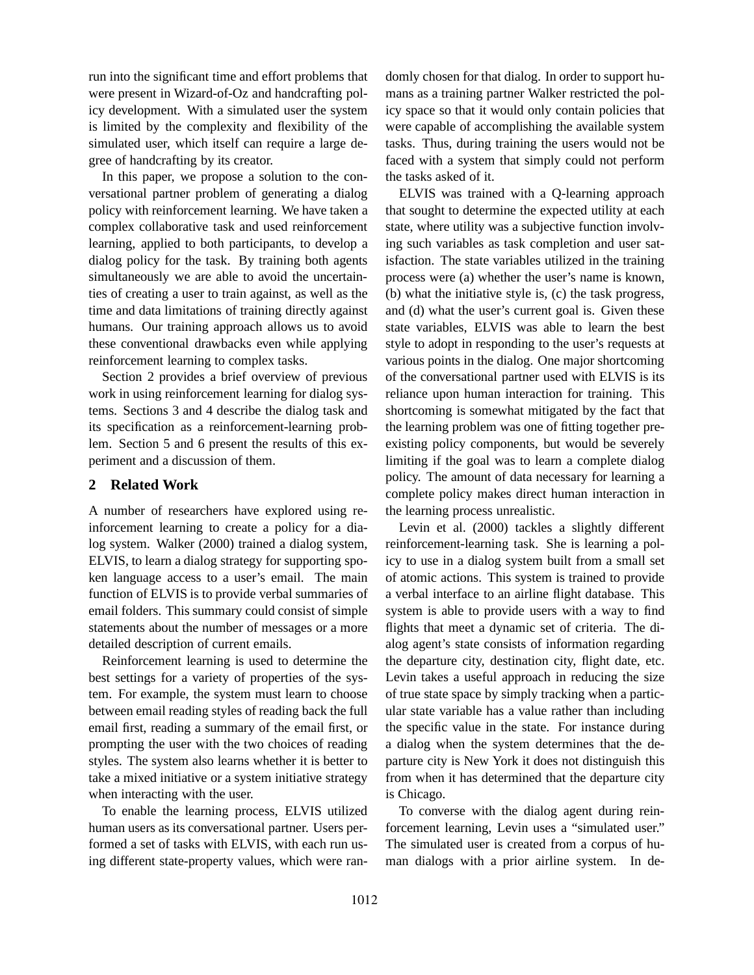run into the significant time and effort problems that were present in Wizard-of-Oz and handcrafting policy development. With a simulated user the system is limited by the complexity and flexibility of the simulated user, which itself can require a large degree of handcrafting by its creator.

In this paper, we propose a solution to the conversational partner problem of generating a dialog policy with reinforcement learning. We have taken a complex collaborative task and used reinforcement learning, applied to both participants, to develop a dialog policy for the task. By training both agents simultaneously we are able to avoid the uncertainties of creating a user to train against, as well as the time and data limitations of training directly against humans. Our training approach allows us to avoid these conventional drawbacks even while applying reinforcement learning to complex tasks.

Section 2 provides a brief overview of previous work in using reinforcement learning for dialog systems. Sections 3 and 4 describe the dialog task and its specification as a reinforcement-learning problem. Section 5 and 6 present the results of this experiment and a discussion of them.

#### **2 Related Work**

A number of researchers have explored using reinforcement learning to create a policy for a dialog system. Walker (2000) trained a dialog system, ELVIS, to learn a dialog strategy for supporting spoken language access to a user's email. The main function of ELVIS is to provide verbal summaries of email folders. This summary could consist of simple statements about the number of messages or a more detailed description of current emails.

Reinforcement learning is used to determine the best settings for a variety of properties of the system. For example, the system must learn to choose between email reading styles of reading back the full email first, reading a summary of the email first, or prompting the user with the two choices of reading styles. The system also learns whether it is better to take a mixed initiative or a system initiative strategy when interacting with the user.

To enable the learning process, ELVIS utilized human users as its conversational partner. Users performed a set of tasks with ELVIS, with each run using different state-property values, which were randomly chosen for that dialog. In order to support humans as a training partner Walker restricted the policy space so that it would only contain policies that were capable of accomplishing the available system tasks. Thus, during training the users would not be faced with a system that simply could not perform the tasks asked of it.

ELVIS was trained with a Q-learning approach that sought to determine the expected utility at each state, where utility was a subjective function involving such variables as task completion and user satisfaction. The state variables utilized in the training process were (a) whether the user's name is known, (b) what the initiative style is, (c) the task progress, and (d) what the user's current goal is. Given these state variables, ELVIS was able to learn the best style to adopt in responding to the user's requests at various points in the dialog. One major shortcoming of the conversational partner used with ELVIS is its reliance upon human interaction for training. This shortcoming is somewhat mitigated by the fact that the learning problem was one of fitting together preexisting policy components, but would be severely limiting if the goal was to learn a complete dialog policy. The amount of data necessary for learning a complete policy makes direct human interaction in the learning process unrealistic.

Levin et al. (2000) tackles a slightly different reinforcement-learning task. She is learning a policy to use in a dialog system built from a small set of atomic actions. This system is trained to provide a verbal interface to an airline flight database. This system is able to provide users with a way to find flights that meet a dynamic set of criteria. The dialog agent's state consists of information regarding the departure city, destination city, flight date, etc. Levin takes a useful approach in reducing the size of true state space by simply tracking when a particular state variable has a value rather than including the specific value in the state. For instance during a dialog when the system determines that the departure city is New York it does not distinguish this from when it has determined that the departure city is Chicago.

To converse with the dialog agent during reinforcement learning, Levin uses a "simulated user." The simulated user is created from a corpus of human dialogs with a prior airline system. In de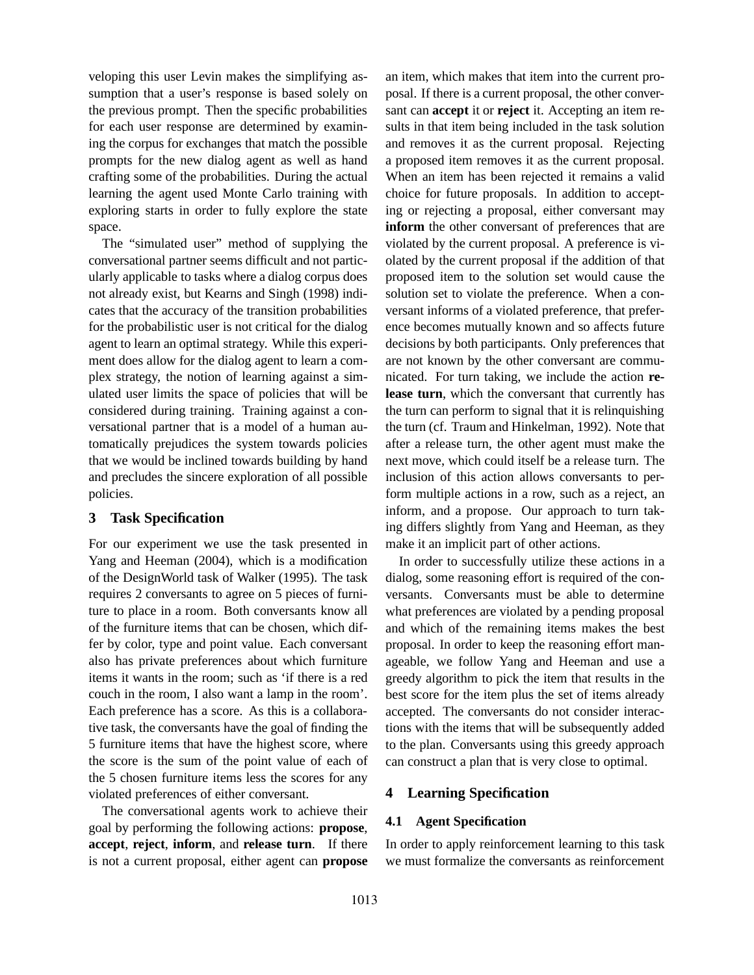veloping this user Levin makes the simplifying assumption that a user's response is based solely on the previous prompt. Then the specific probabilities for each user response are determined by examining the corpus for exchanges that match the possible prompts for the new dialog agent as well as hand crafting some of the probabilities. During the actual learning the agent used Monte Carlo training with exploring starts in order to fully explore the state space.

The "simulated user" method of supplying the conversational partner seems difficult and not particularly applicable to tasks where a dialog corpus does not already exist, but Kearns and Singh (1998) indicates that the accuracy of the transition probabilities for the probabilistic user is not critical for the dialog agent to learn an optimal strategy. While this experiment does allow for the dialog agent to learn a complex strategy, the notion of learning against a simulated user limits the space of policies that will be considered during training. Training against a conversational partner that is a model of a human automatically prejudices the system towards policies that we would be inclined towards building by hand and precludes the sincere exploration of all possible policies.

# **3 Task Specification**

For our experiment we use the task presented in Yang and Heeman (2004), which is a modification of the DesignWorld task of Walker (1995). The task requires 2 conversants to agree on 5 pieces of furniture to place in a room. Both conversants know all of the furniture items that can be chosen, which differ by color, type and point value. Each conversant also has private preferences about which furniture items it wants in the room; such as 'if there is a red couch in the room, I also want a lamp in the room'. Each preference has a score. As this is a collaborative task, the conversants have the goal of finding the 5 furniture items that have the highest score, where the score is the sum of the point value of each of the 5 chosen furniture items less the scores for any violated preferences of either conversant.

The conversational agents work to achieve their goal by performing the following actions: **propose**, **accept**, **reject**, **inform**, and **release turn**. If there is not a current proposal, either agent can **propose** an item, which makes that item into the current proposal. If there is a current proposal, the other conversant can **accept** it or **reject** it. Accepting an item results in that item being included in the task solution and removes it as the current proposal. Rejecting a proposed item removes it as the current proposal. When an item has been rejected it remains a valid choice for future proposals. In addition to accepting or rejecting a proposal, either conversant may **inform** the other conversant of preferences that are violated by the current proposal. A preference is violated by the current proposal if the addition of that proposed item to the solution set would cause the solution set to violate the preference. When a conversant informs of a violated preference, that preference becomes mutually known and so affects future decisions by both participants. Only preferences that are not known by the other conversant are communicated. For turn taking, we include the action **release turn**, which the conversant that currently has the turn can perform to signal that it is relinquishing the turn (cf. Traum and Hinkelman, 1992). Note that after a release turn, the other agent must make the next move, which could itself be a release turn. The inclusion of this action allows conversants to perform multiple actions in a row, such as a reject, an inform, and a propose. Our approach to turn taking differs slightly from Yang and Heeman, as they make it an implicit part of other actions.

In order to successfully utilize these actions in a dialog, some reasoning effort is required of the conversants. Conversants must be able to determine what preferences are violated by a pending proposal and which of the remaining items makes the best proposal. In order to keep the reasoning effort manageable, we follow Yang and Heeman and use a greedy algorithm to pick the item that results in the best score for the item plus the set of items already accepted. The conversants do not consider interactions with the items that will be subsequently added to the plan. Conversants using this greedy approach can construct a plan that is very close to optimal.

# **4 Learning Specification**

## **4.1 Agent Specification**

In order to apply reinforcement learning to this task we must formalize the conversants as reinforcement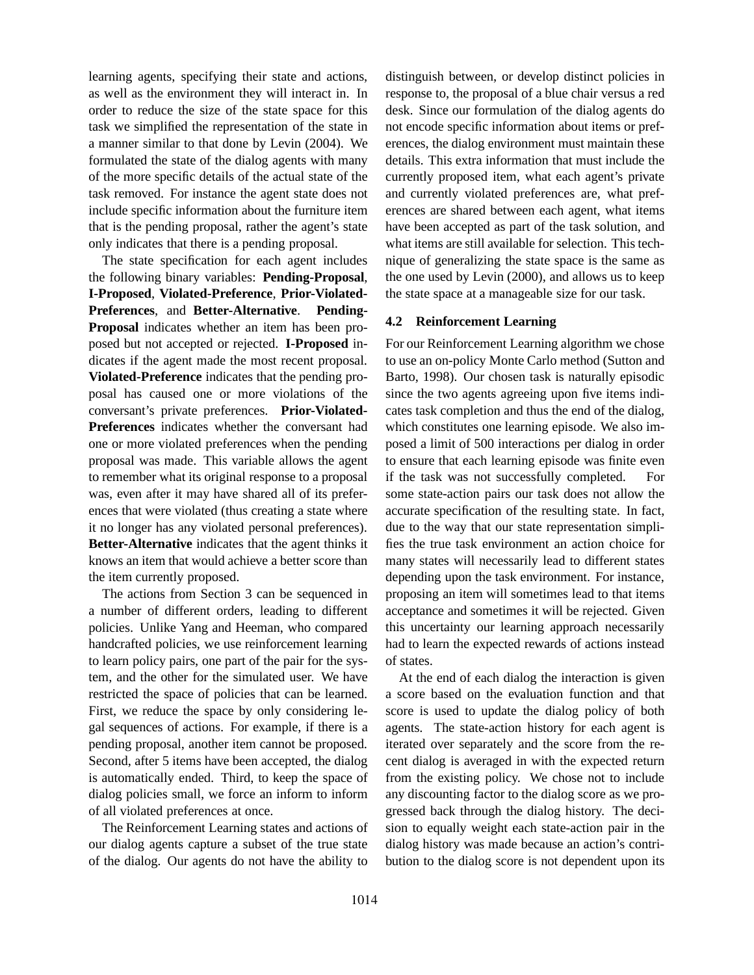learning agents, specifying their state and actions, as well as the environment they will interact in. In order to reduce the size of the state space for this task we simplified the representation of the state in a manner similar to that done by Levin (2004). We formulated the state of the dialog agents with many of the more specific details of the actual state of the task removed. For instance the agent state does not include specific information about the furniture item that is the pending proposal, rather the agent's state only indicates that there is a pending proposal.

The state specification for each agent includes the following binary variables: **Pending-Proposal**, **I-Proposed**, **Violated-Preference**, **Prior-Violated-Preferences**, and **Better-Alternative**. **Pending-Proposal** indicates whether an item has been proposed but not accepted or rejected. **I-Proposed** indicates if the agent made the most recent proposal. **Violated-Preference** indicates that the pending proposal has caused one or more violations of the conversant's private preferences. **Prior-Violated-Preferences** indicates whether the conversant had one or more violated preferences when the pending proposal was made. This variable allows the agent to remember what its original response to a proposal was, even after it may have shared all of its preferences that were violated (thus creating a state where it no longer has any violated personal preferences). **Better-Alternative** indicates that the agent thinks it knows an item that would achieve a better score than the item currently proposed.

The actions from Section 3 can be sequenced in a number of different orders, leading to different policies. Unlike Yang and Heeman, who compared handcrafted policies, we use reinforcement learning to learn policy pairs, one part of the pair for the system, and the other for the simulated user. We have restricted the space of policies that can be learned. First, we reduce the space by only considering legal sequences of actions. For example, if there is a pending proposal, another item cannot be proposed. Second, after 5 items have been accepted, the dialog is automatically ended. Third, to keep the space of dialog policies small, we force an inform to inform of all violated preferences at once.

The Reinforcement Learning states and actions of our dialog agents capture a subset of the true state of the dialog. Our agents do not have the ability to

distinguish between, or develop distinct policies in response to, the proposal of a blue chair versus a red desk. Since our formulation of the dialog agents do not encode specific information about items or preferences, the dialog environment must maintain these details. This extra information that must include the currently proposed item, what each agent's private and currently violated preferences are, what preferences are shared between each agent, what items have been accepted as part of the task solution, and what items are still available for selection. This technique of generalizing the state space is the same as the one used by Levin (2000), and allows us to keep the state space at a manageable size for our task.

# **4.2 Reinforcement Learning**

For our Reinforcement Learning algorithm we chose to use an on-policy Monte Carlo method (Sutton and Barto, 1998). Our chosen task is naturally episodic since the two agents agreeing upon five items indicates task completion and thus the end of the dialog, which constitutes one learning episode. We also imposed a limit of 500 interactions per dialog in order to ensure that each learning episode was finite even if the task was not successfully completed. For some state-action pairs our task does not allow the accurate specification of the resulting state. In fact, due to the way that our state representation simplifies the true task environment an action choice for many states will necessarily lead to different states depending upon the task environment. For instance, proposing an item will sometimes lead to that items acceptance and sometimes it will be rejected. Given this uncertainty our learning approach necessarily had to learn the expected rewards of actions instead of states.

At the end of each dialog the interaction is given a score based on the evaluation function and that score is used to update the dialog policy of both agents. The state-action history for each agent is iterated over separately and the score from the recent dialog is averaged in with the expected return from the existing policy. We chose not to include any discounting factor to the dialog score as we progressed back through the dialog history. The decision to equally weight each state-action pair in the dialog history was made because an action's contribution to the dialog score is not dependent upon its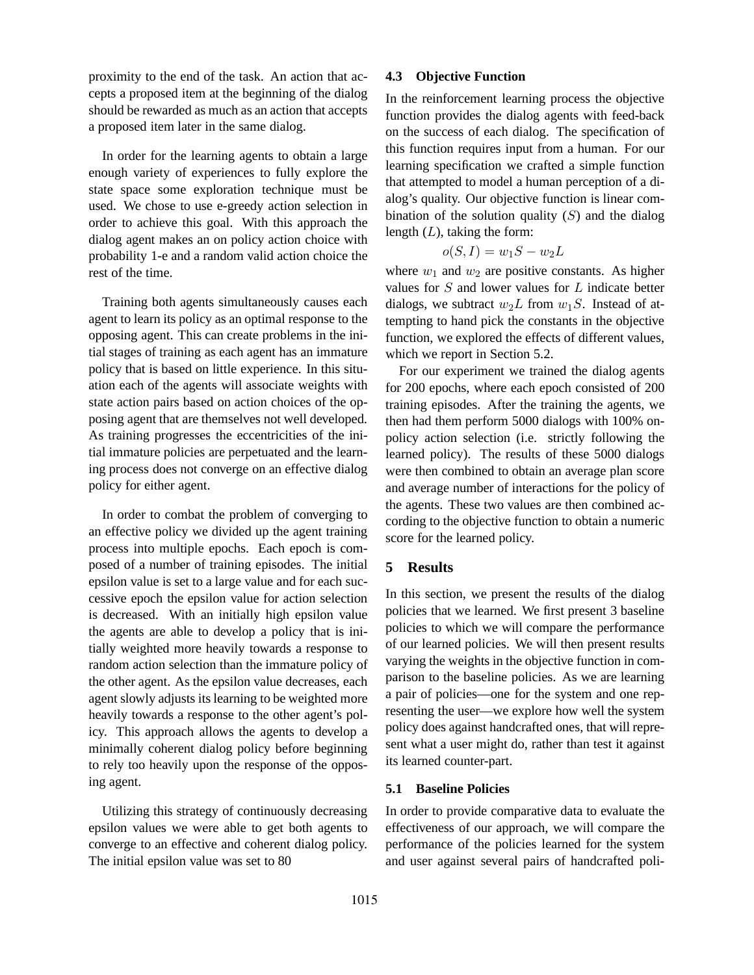proximity to the end of the task. An action that accepts a proposed item at the beginning of the dialog should be rewarded as much as an action that accepts a proposed item later in the same dialog.

In order for the learning agents to obtain a large enough variety of experiences to fully explore the state space some exploration technique must be used. We chose to use e-greedy action selection in order to achieve this goal. With this approach the dialog agent makes an on policy action choice with probability 1-e and a random valid action choice the rest of the time.

Training both agents simultaneously causes each agent to learn its policy as an optimal response to the opposing agent. This can create problems in the initial stages of training as each agent has an immature policy that is based on little experience. In this situation each of the agents will associate weights with state action pairs based on action choices of the opposing agent that are themselves not well developed. As training progresses the eccentricities of the initial immature policies are perpetuated and the learning process does not converge on an effective dialog policy for either agent.

In order to combat the problem of converging to an effective policy we divided up the agent training process into multiple epochs. Each epoch is composed of a number of training episodes. The initial epsilon value is set to a large value and for each successive epoch the epsilon value for action selection is decreased. With an initially high epsilon value the agents are able to develop a policy that is initially weighted more heavily towards a response to random action selection than the immature policy of the other agent. As the epsilon value decreases, each agent slowly adjusts its learning to be weighted more heavily towards a response to the other agent's policy. This approach allows the agents to develop a minimally coherent dialog policy before beginning to rely too heavily upon the response of the opposing agent.

Utilizing this strategy of continuously decreasing epsilon values we were able to get both agents to converge to an effective and coherent dialog policy. The initial epsilon value was set to 80

## **4.3 Objective Function**

In the reinforcement learning process the objective function provides the dialog agents with feed-back on the success of each dialog. The specification of this function requires input from a human. For our learning specification we crafted a simple function that attempted to model a human perception of a dialog's quality. Our objective function is linear combination of the solution quality  $(S)$  and the dialog length  $(L)$ , taking the form:

$$
o(S, I) = w_1 S - w_2 L
$$

where  $w_1$  and  $w_2$  are positive constants. As higher values for  $S$  and lower values for  $L$  indicate better dialogs, we subtract  $w_2L$  from  $w_1S$ . Instead of attempting to hand pick the constants in the objective function, we explored the effects of different values, which we report in Section 5.2.

For our experiment we trained the dialog agents for 200 epochs, where each epoch consisted of 200 training episodes. After the training the agents, we then had them perform 5000 dialogs with 100% onpolicy action selection (i.e. strictly following the learned policy). The results of these 5000 dialogs were then combined to obtain an average plan score and average number of interactions for the policy of the agents. These two values are then combined according to the objective function to obtain a numeric score for the learned policy.

## **5 Results**

In this section, we present the results of the dialog policies that we learned. We first present 3 baseline policies to which we will compare the performance of our learned policies. We will then present results varying the weights in the objective function in comparison to the baseline policies. As we are learning a pair of policies—one for the system and one representing the user—we explore how well the system policy does against handcrafted ones, that will represent what a user might do, rather than test it against its learned counter-part.

## **5.1 Baseline Policies**

In order to provide comparative data to evaluate the effectiveness of our approach, we will compare the performance of the policies learned for the system and user against several pairs of handcrafted poli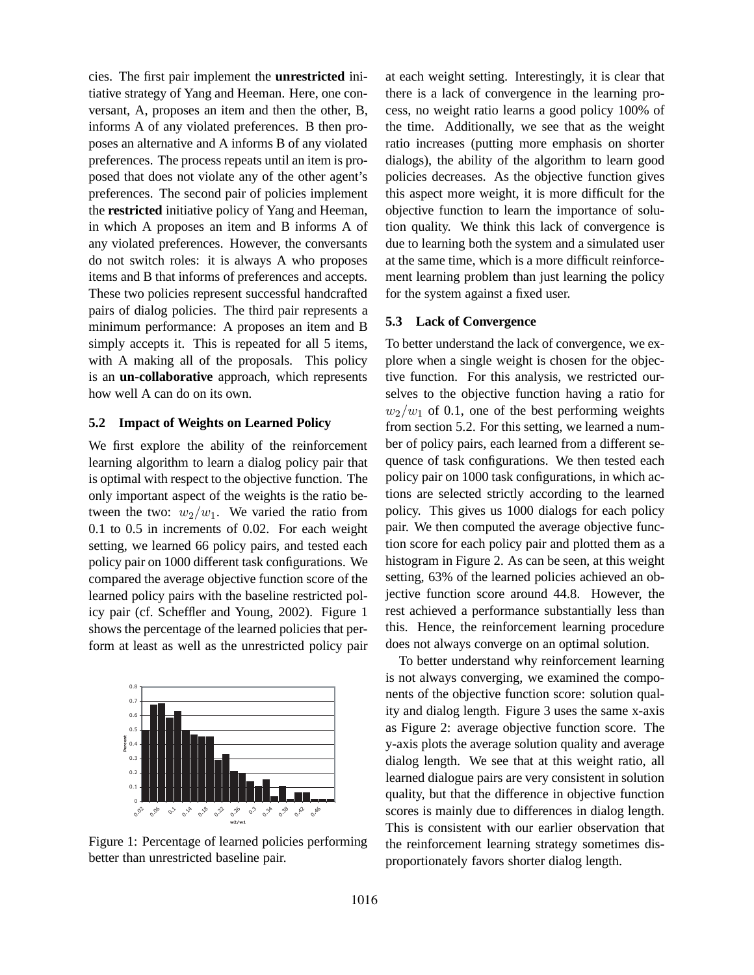cies. The first pair implement the **unrestricted** initiative strategy of Yang and Heeman. Here, one conversant, A, proposes an item and then the other, B, informs A of any violated preferences. B then proposes an alternative and A informs B of any violated preferences. The process repeats until an item is proposed that does not violate any of the other agent's preferences. The second pair of policies implement the **restricted** initiative policy of Yang and Heeman, in which A proposes an item and B informs A of any violated preferences. However, the conversants do not switch roles: it is always A who proposes items and B that informs of preferences and accepts. These two policies represent successful handcrafted pairs of dialog policies. The third pair represents a minimum performance: A proposes an item and B simply accepts it. This is repeated for all 5 items, with A making all of the proposals. This policy is an **un-collaborative** approach, which represents how well A can do on its own.

## **5.2 Impact of Weights on Learned Policy**

We first explore the ability of the reinforcement learning algorithm to learn a dialog policy pair that is optimal with respect to the objective function. The only important aspect of the weights is the ratio between the two:  $w_2/w_1$ . We varied the ratio from 0.1 to 0.5 in increments of 0.02. For each weight setting, we learned 66 policy pairs, and tested each policy pair on 1000 different task configurations. We compared the average objective function score of the learned policy pairs with the baseline restricted policy pair (cf. Scheffler and Young, 2002). Figure 1 shows the percentage of the learned policies that perform at least as well as the unrestricted policy pair



Figure 1: Percentage of learned policies performing better than unrestricted baseline pair.

at each weight setting. Interestingly, it is clear that there is a lack of convergence in the learning process, no weight ratio learns a good policy 100% of the time. Additionally, we see that as the weight ratio increases (putting more emphasis on shorter dialogs), the ability of the algorithm to learn good policies decreases. As the objective function gives this aspect more weight, it is more difficult for the objective function to learn the importance of solution quality. We think this lack of convergence is due to learning both the system and a simulated user at the same time, which is a more difficult reinforcement learning problem than just learning the policy for the system against a fixed user.

#### **5.3 Lack of Convergence**

To better understand the lack of convergence, we explore when a single weight is chosen for the objective function. For this analysis, we restricted ourselves to the objective function having a ratio for  $w_2/w_1$  of 0.1, one of the best performing weights from section 5.2. For this setting, we learned a number of policy pairs, each learned from a different sequence of task configurations. We then tested each policy pair on 1000 task configurations, in which actions are selected strictly according to the learned policy. This gives us 1000 dialogs for each policy pair. We then computed the average objective function score for each policy pair and plotted them as a histogram in Figure 2. As can be seen, at this weight setting, 63% of the learned policies achieved an objective function score around 44.8. However, the rest achieved a performance substantially less than this. Hence, the reinforcement learning procedure does not always converge on an optimal solution.

To better understand why reinforcement learning is not always converging, we examined the components of the objective function score: solution quality and dialog length. Figure 3 uses the same x-axis as Figure 2: average objective function score. The y-axis plots the average solution quality and average dialog length. We see that at this weight ratio, all learned dialogue pairs are very consistent in solution quality, but that the difference in objective function scores is mainly due to differences in dialog length. This is consistent with our earlier observation that the reinforcement learning strategy sometimes disproportionately favors shorter dialog length.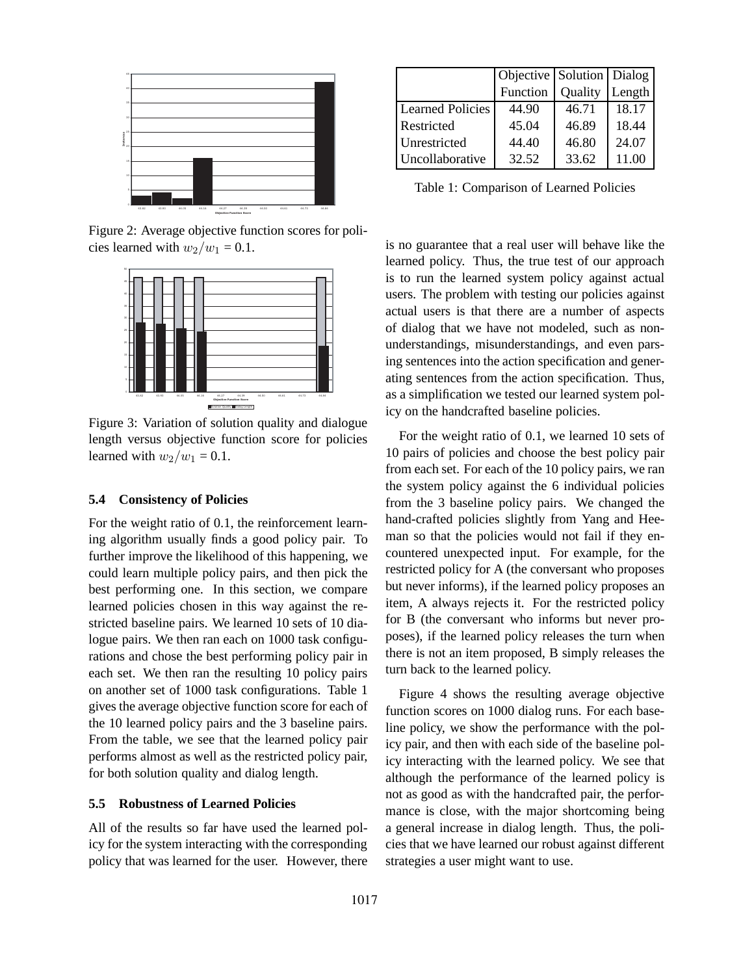

Figure 2: Average objective function scores for policies learned with  $w_2/w_1 = 0.1$ .



Figure 3: Variation of solution quality and dialogue length versus objective function score for policies learned with  $w_2/w_1 = 0.1$ .

## **5.4 Consistency of Policies**

For the weight ratio of 0.1, the reinforcement learning algorithm usually finds a good policy pair. To further improve the likelihood of this happening, we could learn multiple policy pairs, and then pick the best performing one. In this section, we compare learned policies chosen in this way against the restricted baseline pairs. We learned 10 sets of 10 dialogue pairs. We then ran each on 1000 task configurations and chose the best performing policy pair in each set. We then ran the resulting 10 policy pairs on another set of 1000 task configurations. Table 1 gives the average objective function score for each of the 10 learned policy pairs and the 3 baseline pairs. From the table, we see that the learned policy pair performs almost as well as the restricted policy pair, for both solution quality and dialog length.

#### **5.5 Robustness of Learned Policies**

All of the results so far have used the learned policy for the system interacting with the corresponding policy that was learned for the user. However, there

|                         | Objective Solution Dialog |         |        |
|-------------------------|---------------------------|---------|--------|
|                         | Function                  | Quality | Length |
| <b>Learned Policies</b> | 44.90                     | 46.71   | 18.17  |
| Restricted              | 45.04                     | 46.89   | 18.44  |
| Unrestricted            | 44.40                     | 46.80   | 24.07  |
| Uncollaborative         | 32.52                     | 33.62   | 11.00  |

Table 1: Comparison of Learned Policies

is no guarantee that a real user will behave like the learned policy. Thus, the true test of our approach is to run the learned system policy against actual users. The problem with testing our policies against actual users is that there are a number of aspects of dialog that we have not modeled, such as nonunderstandings, misunderstandings, and even parsing sentences into the action specification and generating sentences from the action specification. Thus, as a simplification we tested our learned system policy on the handcrafted baseline policies.

For the weight ratio of 0.1, we learned 10 sets of 10 pairs of policies and choose the best policy pair from each set. For each of the 10 policy pairs, we ran the system policy against the 6 individual policies from the 3 baseline policy pairs. We changed the hand-crafted policies slightly from Yang and Heeman so that the policies would not fail if they encountered unexpected input. For example, for the restricted policy for A (the conversant who proposes but never informs), if the learned policy proposes an item, A always rejects it. For the restricted policy for B (the conversant who informs but never proposes), if the learned policy releases the turn when there is not an item proposed, B simply releases the turn back to the learned policy.

Figure 4 shows the resulting average objective function scores on 1000 dialog runs. For each baseline policy, we show the performance with the policy pair, and then with each side of the baseline policy interacting with the learned policy. We see that although the performance of the learned policy is not as good as with the handcrafted pair, the performance is close, with the major shortcoming being a general increase in dialog length. Thus, the policies that we have learned our robust against different strategies a user might want to use.